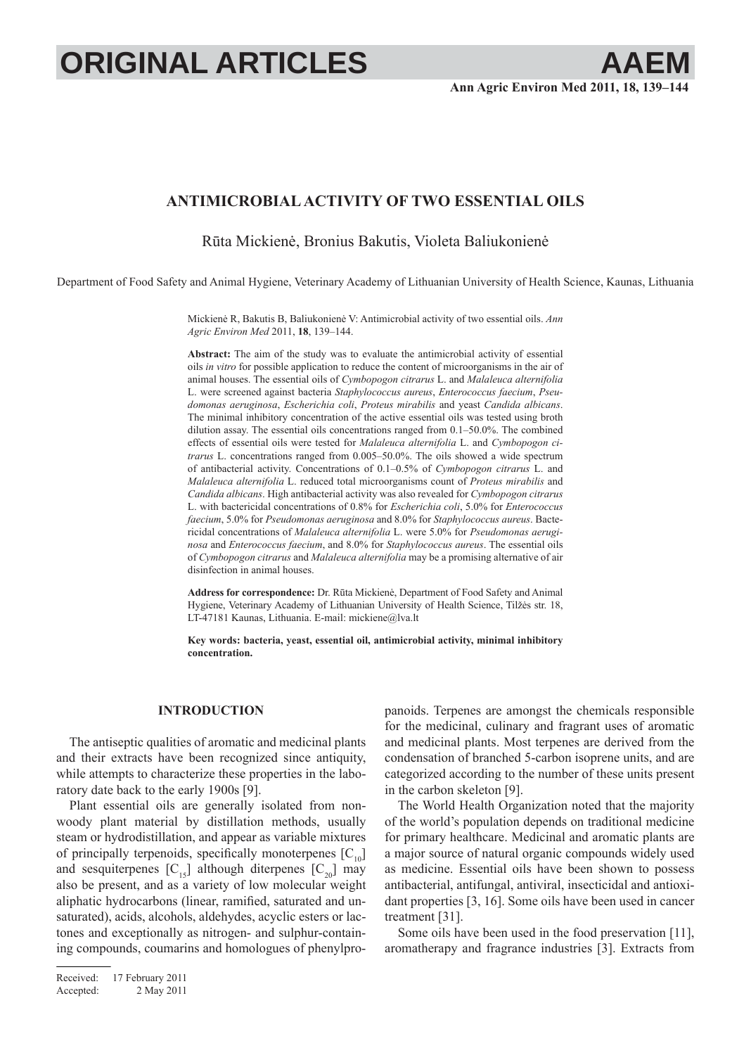# **ORIGINAL ARTICLES AAEM**

# **ANTIMICROBIAL ACTIVITY OF TWO ESSENTIAL OILS**

Rūta Mickienė, Bronius Bakutis, Violeta Baliukonienė

Department of Food Safety and Animal Hygiene, Veterinary Academy of Lithuanian University of Health Science, Kaunas, Lithuania

Mickienė R, Bakutis B, Baliukonienė V: Antimicrobial activity of two essential oils. *Ann Agric Environ Med* 2011, **18**, 139–144.

**Abstract:** The aim of the study was to evaluate the antimicrobial activity of essential oils *in vitro* for possible application to reduce the content of microorganisms in the air of animal houses. The essential oils of *Cymbopogon citrarus* L. and *Malaleuca alternifolia* L. were screened against bacteria *Staphylococcus aureus*, *Enterococcus faecium*, *Pseudomonas aeruginosa*, *Escherichia coli*, *Proteus mirabilis* and yeast *Candida albicans*. The minimal inhibitory concentration of the active essential oils was tested using broth dilution assay. The essential oils concentrations ranged from 0.1–50.0%. The combined effects of essential oils were tested for *Malaleuca alternifolia* L. and *Cymbopogon citrarus* L. concentrations ranged from 0.005–50.0%. The oils showed a wide spectrum of antibacterial activity. Concentrations of 0.1–0.5% of *Cymbopogon citrarus* L. and *Malaleuca alternifolia* L. reduced total microorganisms count of *Proteus mirabilis* and *Candida albicans*. High antibacterial activity was also revealed for *Cymbopogon citrarus* L. with bactericidal concentrations of 0.8% for *Escherichia coli*, 5.0% for *Enterococcus faecium*, 5.0% for *Pseudomonas aeruginosa* and 8.0% for *Staphylococcus aureus*. Bactericidal concentrations of *Malaleuca alternifolia* L. were 5.0% for *Pseudomonas aeruginosa* and *Enterococcus faecium*, and 8.0% for *Staphylococcus aureus*. The essential oils of *Cymbopogon citrarus* and *Malaleuca alternifolia* may be a promising alternative of air disinfection in animal houses.

**Address for correspondence:** Dr. Rūta Mickienė, Department of Food Safety and Animal Hygiene, Veterinary Academy of Lithuanian University of Health Science, Tilžės str. 18, LT-47181 Kaunas, Lithuania. E-mail: mickiene@lva.lt

**Key words: bacteria, yeast, essential oil, antimicrobial activity, minimal inhibitory concentration.**

#### **INTRODUCTION**

The antiseptic qualities of aromatic and medicinal plants and their extracts have been recognized since antiquity, while attempts to characterize these properties in the laboratory date back to the early 1900s [9].

Plant essential oils are generally isolated from nonwoody plant material by distillation methods, usually steam or hydrodistillation, and appear as variable mixtures of principally terpenoids, specifically monoterpenes  $[C_{10}]$ and sesquiterpenes  $[C_{15}]$  although diterpenes  $[C_{20}]$  may also be present, and as a variety of low molecular weight aliphatic hydrocarbons (linear, ramified, saturated and unsaturated), acids, alcohols, aldehydes, acyclic esters or lactones and exceptionally as nitrogen- and sulphur-containing compounds, coumarins and homologues of phenylpro-

Received: 17 February 2011 Accepted: 2 May 2011 panoids. Terpenes are amongst the chemicals responsible for the medicinal, culinary and fragrant uses of aromatic and medicinal plants. Most terpenes are derived from the condensation of branched 5-carbon isoprene units, and are categorized according to the number of these units present in the carbon skeleton [9].

The World Health Organization noted that the majority of the world's population depends on traditional medicine for primary healthcare. Medicinal and aromatic plants are a major source of natural organic compounds widely used as medicine. Essential oils have been shown to possess antibacterial, antifungal, antiviral, insecticidal and antioxidant properties [3, 16]. Some oils have been used in cancer treatment [31].

Some oils have been used in the food preservation [11], aromatherapy and fragrance industries [3]. Extracts from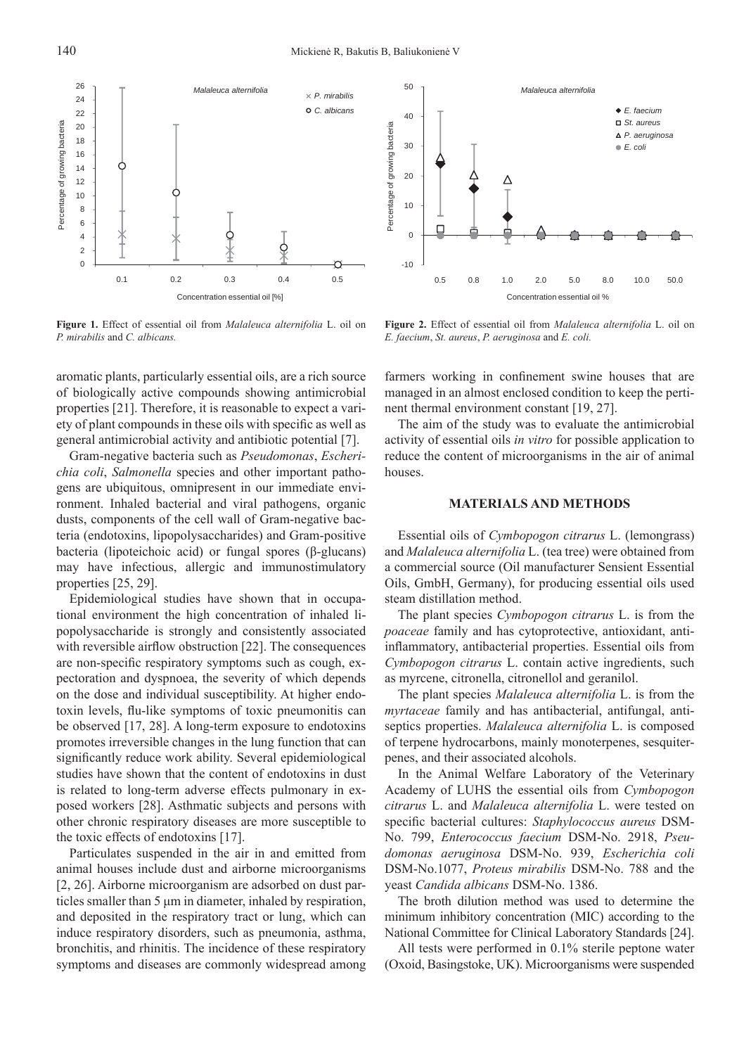

**Figure 1.** Effect of essential oil from *Malaleuca alternifolia* L. oil on *P. mirabilis* and *C. albicans.*

aromatic plants, particularly essential oils, are a rich source of biologically active compounds showing antimicrobial properties [21]. Therefore, it is reasonable to expect a variety of plant compounds in these oils with specific as well as general antimicrobial activity and antibiotic potential [7].

Gram-negative bacteria such as *Pseudomonas*, *Escherichia coli*, *Salmonella* species and other important pathogens are ubiquitous, omnipresent in our immediate environment. Inhaled bacterial and viral pathogens, organic dusts, components of the cell wall of Gram-negative bacteria (endotoxins, lipopolysaccharides) and Gram-positive bacteria (lipoteichoic acid) or fungal spores (β-glucans) may have infectious, allergic and immunostimulatory properties [25, 29].

Epidemiological studies have shown that in occupational environment the high concentration of inhaled lipopolysaccharide is strongly and consistently associated with reversible airflow obstruction  $[22]$ . The consequences are non-specific respiratory symptoms such as cough, expectoration and dyspnoea, the severity of which depends on the dose and individual susceptibility. At higher endotoxin levels, flu-like symptoms of toxic pneumonitis can be observed [17, 28]. A long-term exposure to endotoxins promotes irreversible changes in the lung function that can significantly reduce work ability. Several epidemiological studies have shown that the content of endotoxins in dust is related to long-term adverse effects pulmonary in exposed workers [28]. Asthmatic subjects and persons with other chronic respiratory diseases are more susceptible to the toxic effects of endotoxins [17].

Particulates suspended in the air in and emitted from animal houses include dust and airborne microorganisms [2, 26]. Airborne microorganism are adsorbed on dust particles smaller than 5 μm in diameter, inhaled by respiration, and deposited in the respiratory tract or lung, which can induce respiratory disorders, such as pneumonia, asthma, bronchitis, and rhinitis. The incidence of these respiratory symptoms and diseases are commonly widespread among



**Figure 2.** Effect of essential oil from *Malaleuca alternifolia* L. oil on *E. faecium*, *St. aureus*, *P. aeruginosa* and *E. coli.*

farmers working in confinement swine houses that are managed in an almost enclosed condition to keep the pertinent thermal environment constant [19, 27].

The aim of the study was to evaluate the antimicrobial activity of essential oils *in vitro* for possible application to reduce the content of microorganisms in the air of animal houses.

### **MATERIALS AND METHODS**

Essential oils of *Cymbopogon citrarus* L. (lemongrass) and *Malaleuca alternifolia* L. (tea tree) were obtained from a commercial source (Oil manufacturer Sensient Essential Oils, GmbH, Germany), for producing essential oils used steam distillation method.

The plant species *Cymbopogon citrarus* L. is from the *poaceae* family and has cytoprotective, antioxidant, antiinflammatory, antibacterial properties. Essential oils from *Cymbopogon citrarus* L. contain active ingredients, such as myrcene, citronella, citronellol and geranilol.

The plant species *Malaleuca alternifolia* L. is from the *myrtaceae* family and has antibacterial, antifungal, antiseptics properties. *Malaleuca alternifolia* L. is composed of terpene hydrocarbons, mainly monoterpenes, sesquiterpenes, and their associated alcohols.

In the Animal Welfare Laboratory of the Veterinary Academy of LUHS the essential oils from *Cymbopogon citrarus* L. and *Malaleuca alternifolia* L. were tested on specific bacterial cultures: *Staphylococcus aureus* DSM-No. 799, *Enterococcus faecium* DSM-No. 2918, *Pseudomonas aeruginosa* DSM-No. 939, *Escherichia coli* DSM-No.1077, *Proteus mirabilis* DSM-No. 788 and the yeast *Candida albicans* DSM-No. 1386.

The broth dilution method was used to determine the minimum inhibitory concentration (MIC) according to the National Committee for Clinical Laboratory Standards [24].

All tests were performed in 0.1% sterile peptone water (Oxoid, Basingstoke, UK). Microorganisms were suspended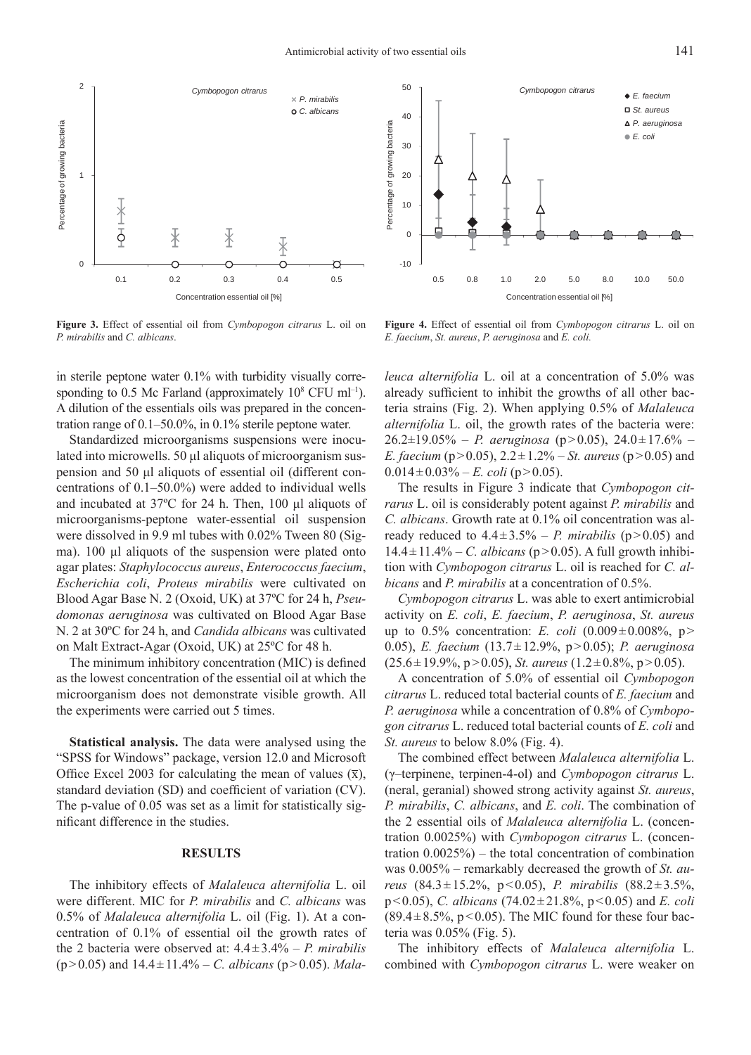

**Figure 3.** Effect of essential oil from *Cymbopogon citrarus* L. oil on *P. mirabilis* and *C. albicans*.

in sterile peptone water 0.1% with turbidity visually corresponding to 0.5 Mc Farland (approximately  $10^8$  CFU ml<sup>-1</sup>). A dilution of the essentials oils was prepared in the concentration range of 0.1–50.0%, in 0.1% sterile peptone water.

Standardized microorganisms suspensions were inoculated into microwells. 50 μl aliquots of microorganism suspension and 50 μl aliquots of essential oil (different concentrations of 0.1–50.0%) were added to individual wells and incubated at 37ºC for 24 h. Then, 100 μl aliquots of microorganisms-peptone water-essential oil suspension were dissolved in 9.9 ml tubes with 0.02% Tween 80 (Sigma). 100 μl aliquots of the suspension were plated onto agar plates: *Staphylococcus aureus*, *Enterococcus faecium*, *Escherichia coli*, *Proteus mirabilis* were cultivated on Blood Agar Base N. 2 (Oxoid, UK) at 37ºC for 24 h, *Pseudomonas aeruginosa* was cultivated on Blood Agar Base N. 2 at 30ºC for 24 h, and *Candida albicans* was cultivated on Malt Extract-Agar (Oxoid, UK) at 25ºC for 48 h.

The minimum inhibitory concentration (MIC) is defined as the lowest concentration of the essential oil at which the microorganism does not demonstrate visible growth. All the experiments were carried out 5 times.

**Statistical analysis.** The data were analysed using the "SPSS for Windows" package, version 12.0 and Microsoft Office Excel 2003 for calculating the mean of values  $(\bar{x})$ , standard deviation (SD) and coefficient of variation (CV). The p-value of 0.05 was set as a limit for statistically significant difference in the studies.

## **RESULTS**

The inhibitory effects of *Malaleuca alternifolia* L. oil were different. MIC for *P. mirabilis* and *C. albicans* was 0.5% of *Malaleuca alternifolia* L. oil (Fig. 1). At a concentration of 0.1% of essential oil the growth rates of the 2 bacteria were observed at: 4.4 ± 3.4% – *P. mirabilis*  $(p > 0.05)$  and  $14.4 \pm 11.4\%$  – *C. albicans* ( $p > 0.05$ ). *Mala-*



**Figure 4.** Effect of essential oil from *Cymbopogon citrarus* L. oil on *E. faecium*, *St. aureus*, *P. aeruginosa* and *E. coli.*

*leuca alternifolia* L. oil at a concentration of 5.0% was already sufficient to inhibit the growths of all other bacteria strains (Fig. 2). When applying 0.5% of *Malaleuca alternifolia* L. oil, the growth rates of the bacteria were:  $26.2 \pm 19.05\%$  – *P. aeruginosa* (p>0.05),  $24.0 \pm 17.6\%$  – *E. faecium* (p>0.05),  $2.2 \pm 1.2\%$  – *St. aureus* (p>0.05) and  $0.014 \pm 0.03\%$  – *E. coli* (p > 0.05).

The results in Figure 3 indicate that *Cymbopogon citrarus* L. oil is considerably potent against *P. mirabilis* and *C. albicans*. Growth rate at 0.1% oil concentration was already reduced to  $4.4 \pm 3.5\%$  – *P. mirabilis* ( $p > 0.05$ ) and  $14.4 \pm 11.4\% - C$ . *albicans* (p > 0.05). A full growth inhibition with *Cymbopogon citrarus* L. oil is reached for *C. albicans* and *P. mirabilis* at a concentration of 0.5%.

*Cymbopogon citrarus* L. was able to exert antimicrobial activity on *E. coli*, *E. faecium*, *P. aeruginosa*, *St. aureus*  up to  $0.5\%$  concentration: *E. coli*  $(0.009 \pm 0.008\%, p >$ 0.05), *E. faecium* (13.7 ± 12.9%, p > 0.05); *P. aeruginosa*  $(25.6 \pm 19.9\%, p > 0.05)$ , *St. aureus*  $(1.2 \pm 0.8\%, p > 0.05)$ .

A concentration of 5.0% of essential oil *Cymbopogon citrarus* L. reduced total bacterial counts of *E. faecium* and *P. aeruginosa* while a concentration of 0.8% of *Cymbopogon citrarus* L. reduced total bacterial counts of *E. coli* and *St. aureus* to below 8.0% (Fig. 4).

The combined effect between *Malaleuca alternifolia* L. (γ–terpinene, terpinen-4-ol) and *Cymbopogon citrarus* L. (neral, geranial) showed strong activity against *St. aureus*, *P. mirabilis*, *C. albicans*, and *E. coli*. The combination of the 2 essential oils of *Malaleuca alternifolia* L. (concentration 0.0025%) with *Cymbopogon citrarus* L. (concentration 0.0025%) – the total concentration of combination was 0.005% – remarkably decreased the growth of *St. aureus* (84.3 ± 15.2%, p < 0.05), *P. mirabilis* (88.2 ± 3.5%, p < 0.05), *C. albicans* (74.02 ± 21.8%, p < 0.05) and *E. coli*  $(89.4 \pm 8.5\%, p < 0.05)$ . The MIC found for these four bacteria was 0.05% (Fig. 5).

The inhibitory effects of *Malaleuca alternifolia* L. combined with *Cymbopogon citrarus* L. were weaker on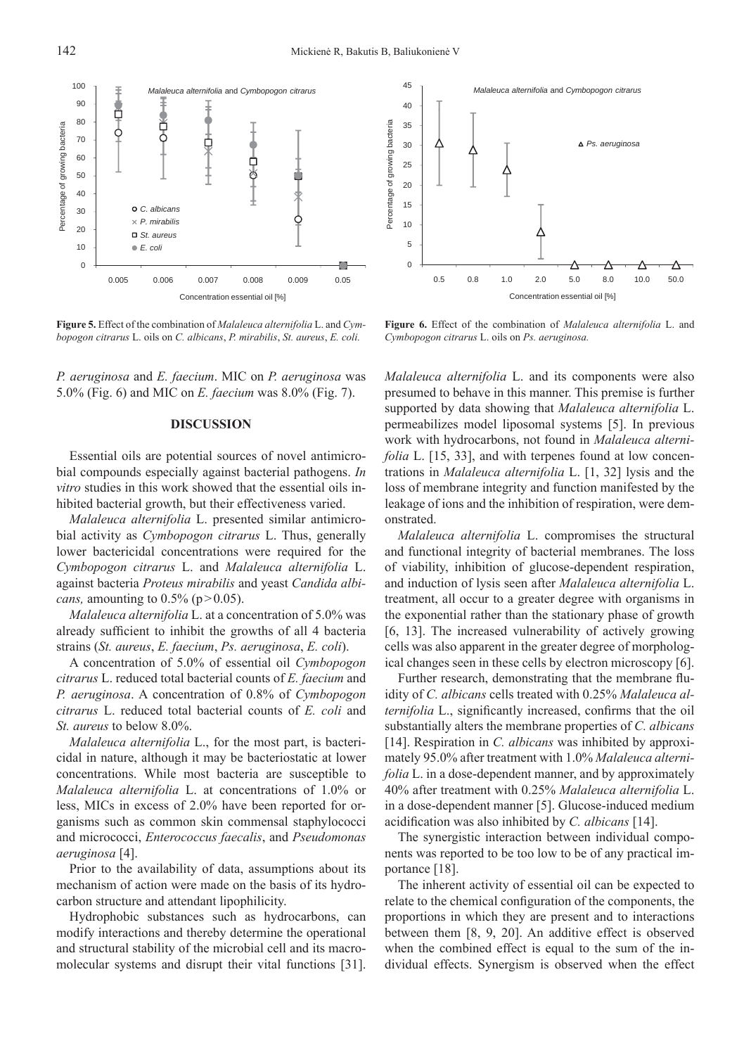

**Figure 5.** Effect of the combination of *Malaleuca alternifolia* L. and *Cymbopogon citrarus* L. oils on *C. albicans*, *P. mirabilis*, *St. aureus*, *E. coli.*

*P. aeruginosa* and *E. faecium*. MIC on *P. aeruginosa* was 5.0% (Fig. 6) and MIC on *E. faecium* was 8.0% (Fig. 7).

#### **DISCUSSION**

Essential oils are potential sources of novel antimicrobial compounds especially against bacterial pathogens. *In vitro* studies in this work showed that the essential oils inhibited bacterial growth, but their effectiveness varied.

*Malaleuca alternifolia* L. presented similar antimicrobial activity as *Cymbopogon citrarus* L. Thus, generally lower bactericidal concentrations were required for the *Cymbopogon citrarus* L. and *Malaleuca alternifolia* L. against bacteria *Proteus mirabilis* and yeast *Candida albicans,* amounting to  $0.5\%$  ( $p > 0.05$ ).

*Malaleuca alternifolia* L. at a concentration of 5.0% was already sufficient to inhibit the growths of all 4 bacteria strains (*St. aureus*, *E. faecium*, *Ps. aeruginosa*, *E. coli*).

A concentration of 5.0% of essential oil *Cymbopogon citrarus* L. reduced total bacterial counts of *E. faecium* and *P. aeruginosa*. A concentration of 0.8% of *Cymbopogon citrarus* L. reduced total bacterial counts of *E. coli* and *St. aureus* to below 8.0%.

*Malaleuca alternifolia* L., for the most part, is bactericidal in nature, although it may be bacteriostatic at lower concentrations. While most bacteria are susceptible to *Malaleuca alternifolia* L. at concentrations of 1.0% or less, MICs in excess of 2.0% have been reported for organisms such as common skin commensal staphylococci and micrococci, *Enterococcus faecalis*, and *Pseudomonas aeruginosa* [4].

Prior to the availability of data, assumptions about its mechanism of action were made on the basis of its hydrocarbon structure and attendant lipophilicity.

Hydrophobic substances such as hydrocarbons, can modify interactions and thereby determine the operational and structural stability of the microbial cell and its macromolecular systems and disrupt their vital functions [31].



**Figure 6.** Effect of the combination of *Malaleuca alternifolia* L. and *Cymbopogon citrarus* L. oils on *Ps. aeruginosa.*

*Malaleuca alternifolia* L. and its components were also presumed to behave in this manner. This premise is further supported by data showing that *Malaleuca alternifolia* L. permeabilizes model liposomal systems [5]. In previous work with hydrocarbons, not found in *Malaleuca alternifolia* L. [15, 33], and with terpenes found at low concentrations in *Malaleuca alternifolia* L. [1, 32] lysis and the loss of membrane integrity and function manifested by the leakage of ions and the inhibition of respiration, were demonstrated.

*Malaleuca alternifolia* L. compromises the structural and functional integrity of bacterial membranes. The loss of viability, inhibition of glucose-dependent respiration, and induction of lysis seen after *Malaleuca alternifolia* L. treatment, all occur to a greater degree with organisms in the exponential rather than the stationary phase of growth [6, 13]. The increased vulnerability of actively growing cells was also apparent in the greater degree of morphological changes seen in these cells by electron microscopy [6].

Further research, demonstrating that the membrane fluidity of *C. albicans* cells treated with 0.25% *Malaleuca alternifolia* L., significantly increased, confirms that the oil substantially alters the membrane properties of *C. albicans* [14]. Respiration in *C. albicans* was inhibited by approximately 95.0% after treatment with 1.0% *Malaleuca alternifolia* L. in a dose-dependent manner, and by approximately 40% after treatment with 0.25% *Malaleuca alternifolia* L. in a dose-dependent manner [5]. Glucose-induced medium acidification was also inhibited by *C. albicans* [14].

The synergistic interaction between individual components was reported to be too low to be of any practical importance [18].

The inherent activity of essential oil can be expected to relate to the chemical configuration of the components, the proportions in which they are present and to interactions between them [8, 9, 20]. An additive effect is observed when the combined effect is equal to the sum of the individual effects. Synergism is observed when the effect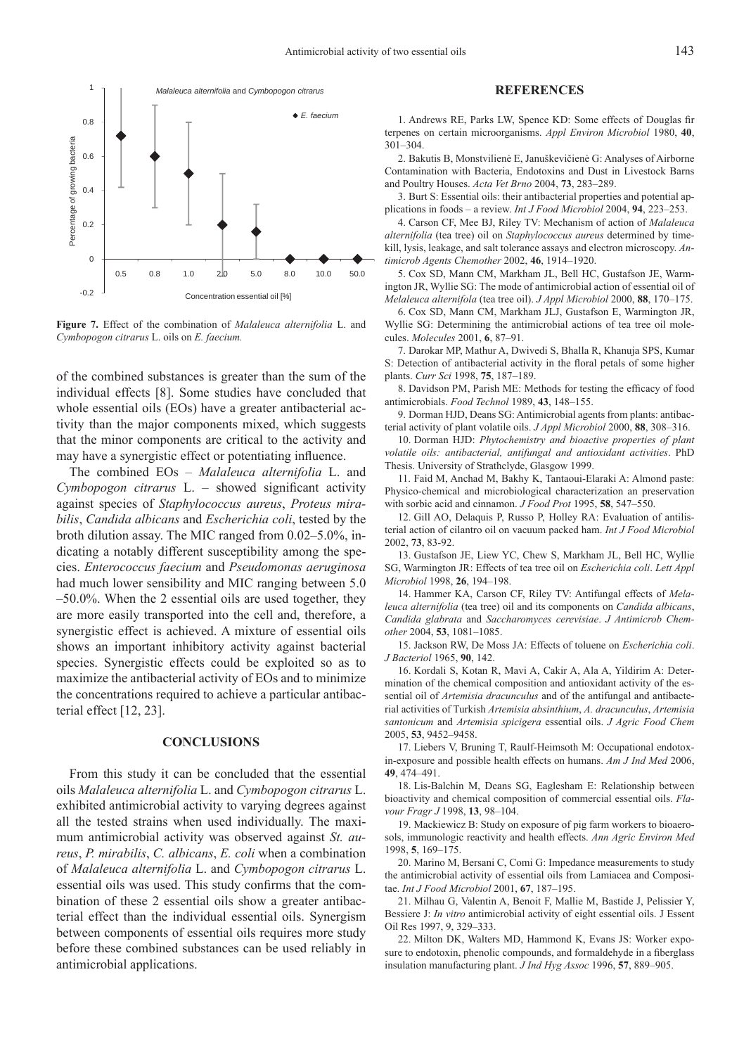

**Figure 7.** Effect of the combination of *Malaleuca alternifolia* L. and *Cymbopogon citrarus* L. oils on *E. faecium.*

of the combined substances is greater than the sum of the individual effects [8]. Some studies have concluded that whole essential oils (EOs) have a greater antibacterial activity than the major components mixed, which suggests that the minor components are critical to the activity and may have a synergistic effect or potentiating influence.

The combined EOs – *Malaleuca alternifolia* L. and *Cymbopogon citrarus* L. – showed significant activity against species of *Staphylococcus aureus*, *Proteus mirabilis*, *Candida albicans* and *Escherichia coli*, tested by the broth dilution assay. The MIC ranged from 0.02–5.0%, indicating a notably different susceptibility among the species. *Enterococcus faecium* and *Pseudomonas aeruginosa* had much lower sensibility and MIC ranging between 5.0 –50.0%. When the 2 essential oils are used together, they are more easily transported into the cell and, therefore, a synergistic effect is achieved. A mixture of essential oils shows an important inhibitory activity against bacterial species. Synergistic effects could be exploited so as to maximize the antibacterial activity of EOs and to minimize the concentrations required to achieve a particular antibacterial effect [12, 23].

## **CONCLUSIONS**

From this study it can be concluded that the essential oils *Malaleuca alternifolia* L. and *Cymbopogon citrarus* L. exhibited antimicrobial activity to varying degrees against all the tested strains when used individually. The maximum antimicrobial activity was observed against *St. aureus*, *P. mirabilis*, *C. albicans*, *E. coli* when a combination of *Malaleuca alternifolia* L. and *Cymbopogon citrarus* L. essential oils was used. This study confirms that the combination of these 2 essential oils show a greater antibacterial effect than the individual essential oils. Synergism between components of essential oils requires more study before these combined substances can be used reliably in antimicrobial applications.

#### **REFERENCES**

1. Andrews RE, Parks LW, Spence KD: Some effects of Douglas fir terpenes on certain microorganisms. *Appl Environ Microbiol* 1980, **40**, 301–304.

2. Bakutis B, Monstvilienė E, Januškevičienė G: Analyses of Airborne Contamination with Bacteria, Endotoxins and Dust in Livestock Barns and Poultry Houses. *Acta Vet Brno* 2004, **73**, 283–289.

3. Burt S: Essential oils: their antibacterial properties and potential applications in foods – a review. *Int J Food Microbiol* 2004, **94**, 223–253.

4. Carson CF, Mee BJ, Riley TV: Mechanism of action of *Malaleuca alternifolia* (tea tree) oil on *Staphylococcus aureus* determined by timekill, lysis, leakage, and salt tolerance assays and electron microscopy. *Antimicrob Agents Chemother* 2002, **46**, 1914–1920.

5. Cox SD, Mann CM, Markham JL, Bell HC, Gustafson JE, Warmington JR, Wyllie SG: The mode of antimicrobial action of essential oil of *Melaleuca alternifola* (tea tree oil). *J Appl Microbiol* 2000, **88**, 170–175.

6. Cox SD, Mann CM, Markham JLJ, Gustafson E, Warmington JR, Wyllie SG: Determining the antimicrobial actions of tea tree oil molecules. *Molecules* 2001, **6**, 87–91.

7. Darokar MP, Mathur A, Dwivedi S, Bhalla R, Khanuja SPS, Kumar S: Detection of antibacterial activity in the floral petals of some higher plants. *Curr Sci* 1998, **75**, 187–189.

8. Davidson PM, Parish ME: Methods for testing the efficacy of food antimicrobials. *Food Technol* 1989, **43**, 148–155.

9. Dorman HJD, Deans SG: Antimicrobial agents from plants: antibacterial activity of plant volatile oils. *J Appl Microbiol* 2000, **88**, 308–316.

10. Dorman HJD: *Phytochemistry and bioactive properties of plant volatile oils: antibacterial, antifungal and antioxidant activities*. PhD Thesis. University of Strathclyde, Glasgow 1999.

11. Faid M, Anchad M, Bakhy K, Tantaoui-Elaraki A: Almond paste: Physico-chemical and microbiological characterization an preservation with sorbic acid and cinnamon. *J Food Prot* 1995, **58**, 547–550.

12. Gill AO, Delaquis P, Russo P, Holley RA: Evaluation of antilisterial action of cilantro oil on vacuum packed ham. *Int J Food Microbiol*  2002, **73**, 83-92.

13. Gustafson JE, Liew YC, Chew S, Markham JL, Bell HC, Wyllie SG, Warmington JR: Effects of tea tree oil on *Escherichia coli*. *Lett Appl Microbiol* 1998, **26**, 194–198.

14. Hammer KA, Carson CF, Riley TV: Antifungal effects of *Melaleuca alternifolia* (tea tree) oil and its components on *Candida albicans*, *Candida glabrata* and *Saccharomyces cerevisiae*. *J Antimicrob Chemother* 2004, **53**, 1081–1085.

15. Jackson RW, De Moss JA: Effects of toluene on *Escherichia coli*. *J Bacteriol* 1965, **90**, 142.

16. Kordali S, Kotan R, Mavi A, Cakir A, Ala A, Yildirim A: Determination of the chemical composition and antioxidant activity of the essential oil of *Artemisia dracunculus* and of the antifungal and antibacterial activities of Turkish *Artemisia absinthium*, *A. dracunculus*, *Artemisia santonicum* and *Artemisia spicigera* essential oils. *J Agric Food Chem* 2005, **53**, 9452–9458.

17. Liebers V, Bruning T, Raulf-Heimsoth M: Occupational endotoxin-exposure and possible health effects on humans. *Am J Ind Med* 2006, **49**, 474–491.

18. Lis-Balchin M, Deans SG, Eaglesham E: Relationship between bioactivity and chemical composition of commercial essential oils. *Flavour Fragr J* 1998, **13**, 98–104.

19. Mackiewicz B: Study on exposure of pig farm workers to bioaerosols, immunologic reactivity and health effects. *Ann Agric Environ Med*  1998, **5**, 169–175.

20. Marino M, Bersani C, Comi G: Impedance measurements to study the antimicrobial activity of essential oils from Lamiacea and Compositae. *Int J Food Microbiol* 2001, **67**, 187–195.

21. Milhau G, Valentin A, Benoit F, Mallie M, Bastide J, Pelissier Y, Bessiere J: *In vitro* antimicrobial activity of eight essential oils. J Essent Oil Res 1997, 9, 329–333.

22. Milton DK, Walters MD, Hammond K, Evans JS: Worker exposure to endotoxin, phenolic compounds, and formaldehyde in a fiberglass insulation manufacturing plant. *J Ind Hyg Assoc* 1996, **57**, 889–905.